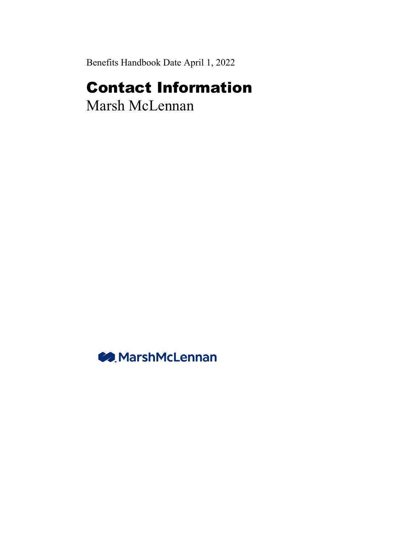Benefits Handbook Date April 1, 2022

## Contact Information

Marsh McLennan

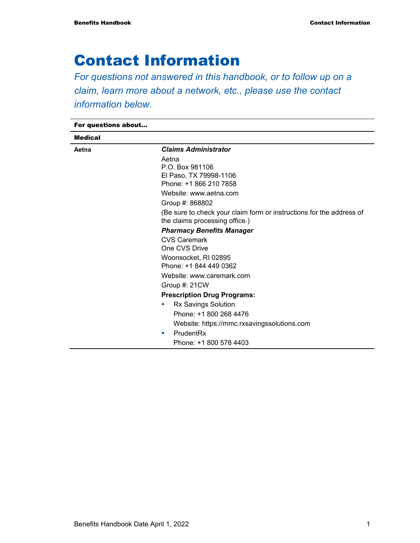## Contact Information

*For questions not answered in this handbook, or to follow up on a claim, learn more about a network, etc., please use the contact information below.* 

For questions about... Medical **Aetna** *Claims Administrator*  Aetna P.O. Box 981106 El Paso, TX 79998-1106 Phone: +1 866 210 7858 Website: www.aetna.com Group #: 868802 (Be sure to check your claim form or instructions for the address of the claims processing office.) *Pharmacy Benefits Manager*  CVS Caremark One CVS Drive Woonsocket, RI 02895 Phone: +1 844 449 0362 Website: www.caremark.com Group #: 21CW **Prescription Drug Programs: Rx Savings Solution**  Phone: +1 800 268 4476 Website: https://mmc.rxsavingssolutions.com PrudentRx Phone: +1 800 578 4403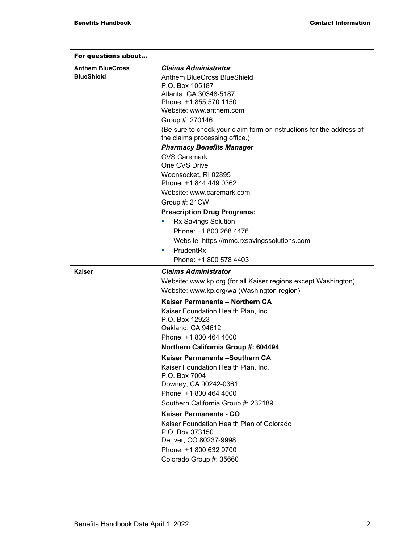| For questions about<br><b>Anthem BlueCross</b><br><b>BlueShield</b> | <b>Claims Administrator</b><br>Anthem BlueCross BlueShield<br>P.O. Box 105187<br>Atlanta, GA 30348-5187<br>Phone: +1 855 570 1150<br>Website: www.anthem.com<br>Group #: 270146<br>(Be sure to check your claim form or instructions for the address of<br>the claims processing office.)<br><b>Pharmacy Benefits Manager</b><br><b>CVS Caremark</b><br>One CVS Drive<br>Woonsocket, RI 02895<br>Phone: +1 844 449 0362<br>Website: www.caremark.com<br>Group #: 21CW<br><b>Prescription Drug Programs:</b><br><b>Rx Savings Solution</b><br>ш<br>Phone: +1 800 268 4476 |
|---------------------------------------------------------------------|--------------------------------------------------------------------------------------------------------------------------------------------------------------------------------------------------------------------------------------------------------------------------------------------------------------------------------------------------------------------------------------------------------------------------------------------------------------------------------------------------------------------------------------------------------------------------|
|                                                                     | Website: https://mmc.rxsavingssolutions.com                                                                                                                                                                                                                                                                                                                                                                                                                                                                                                                              |
|                                                                     | PrudentRx<br>ш                                                                                                                                                                                                                                                                                                                                                                                                                                                                                                                                                           |
|                                                                     | Phone: +1 800 578 4403                                                                                                                                                                                                                                                                                                                                                                                                                                                                                                                                                   |
| Kaiser                                                              | <b>Claims Administrator</b>                                                                                                                                                                                                                                                                                                                                                                                                                                                                                                                                              |
|                                                                     | Website: www.kp.org (for all Kaiser regions except Washington)                                                                                                                                                                                                                                                                                                                                                                                                                                                                                                           |
|                                                                     | Website: www.kp.org/wa (Washington region)                                                                                                                                                                                                                                                                                                                                                                                                                                                                                                                               |
|                                                                     | Kaiser Permanente - Northern CA                                                                                                                                                                                                                                                                                                                                                                                                                                                                                                                                          |
|                                                                     | Kaiser Foundation Health Plan, Inc.<br>P.O. Box 12923<br>Oakland, CA 94612                                                                                                                                                                                                                                                                                                                                                                                                                                                                                               |
|                                                                     | Phone: +1 800 464 4000                                                                                                                                                                                                                                                                                                                                                                                                                                                                                                                                                   |
|                                                                     | Northern California Group #: 604494                                                                                                                                                                                                                                                                                                                                                                                                                                                                                                                                      |
|                                                                     | Kaiser Permanente - Southern CA                                                                                                                                                                                                                                                                                                                                                                                                                                                                                                                                          |
|                                                                     | Kaiser Foundation Health Plan, Inc.<br>P.O. Box 7004<br>Downey, CA 90242-0361<br>Phone: +1 800 464 4000<br>Southern California Group #: 232189                                                                                                                                                                                                                                                                                                                                                                                                                           |
|                                                                     | Kaiser Permanente - CO                                                                                                                                                                                                                                                                                                                                                                                                                                                                                                                                                   |
|                                                                     | Kaiser Foundation Health Plan of Colorado<br>P.O. Box 373150<br>Denver, CO 80237-9998<br>Phone: +1 800 632 9700                                                                                                                                                                                                                                                                                                                                                                                                                                                          |
|                                                                     | Colorado Group #: 35660                                                                                                                                                                                                                                                                                                                                                                                                                                                                                                                                                  |
|                                                                     |                                                                                                                                                                                                                                                                                                                                                                                                                                                                                                                                                                          |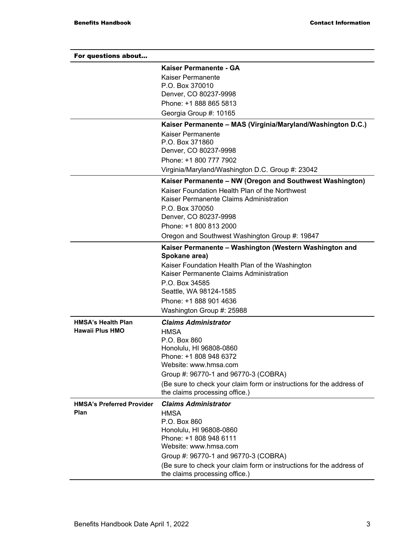| For questions about              |                                                                                            |
|----------------------------------|--------------------------------------------------------------------------------------------|
|                                  | Kaiser Permanente - GA                                                                     |
|                                  | Kaiser Permanente                                                                          |
|                                  | P.O. Box 370010                                                                            |
|                                  | Denver, CO 80237-9998<br>Phone: +1 888 865 5813                                            |
|                                  |                                                                                            |
|                                  | Georgia Group #: 10165                                                                     |
|                                  | Kaiser Permanente - MAS (Virginia/Maryland/Washington D.C.)<br>Kaiser Permanente           |
|                                  | P.O. Box 371860                                                                            |
|                                  | Denver, CO 80237-9998                                                                      |
|                                  | Phone: +1 800 777 7902                                                                     |
|                                  | Virginia/Maryland/Washington D.C. Group #: 23042                                           |
|                                  | Kaiser Permanente - NW (Oregon and Southwest Washington)                                   |
|                                  | Kaiser Foundation Health Plan of the Northwest                                             |
|                                  | Kaiser Permanente Claims Administration                                                    |
|                                  | P.O. Box 370050                                                                            |
|                                  | Denver, CO 80237-9998                                                                      |
|                                  | Phone: +1 800 813 2000                                                                     |
|                                  | Oregon and Southwest Washington Group #: 19847                                             |
|                                  | Kaiser Permanente - Washington (Western Washington and<br>Spokane area)                    |
|                                  | Kaiser Foundation Health Plan of the Washington<br>Kaiser Permanente Claims Administration |
|                                  | P.O. Box 34585                                                                             |
|                                  | Seattle, WA 98124-1585                                                                     |
|                                  | Phone: +1 888 901 4636                                                                     |
|                                  | Washington Group #: 25988                                                                  |
| <b>HMSA's Health Plan</b>        | <b>Claims Administrator</b>                                                                |
| Hawaii Plus HMO                  | <b>HMSA</b>                                                                                |
|                                  | P.O. Box 860                                                                               |
|                                  | Honolulu, HI 96808-0860<br>Phone: +1 808 948 6372                                          |
|                                  | Website: www.hmsa.com                                                                      |
|                                  | Group #: 96770-1 and 96770-3 (COBRA)                                                       |
|                                  | (Be sure to check your claim form or instructions for the address of                       |
|                                  | the claims processing office.)                                                             |
| <b>HMSA's Preferred Provider</b> | <b>Claims Administrator</b>                                                                |
| Plan                             | <b>HMSA</b>                                                                                |
|                                  | P.O. Box 860                                                                               |
|                                  | Honolulu, HI 96808-0860                                                                    |
|                                  | Phone: +1 808 948 6111<br>Website: www.hmsa.com                                            |
|                                  | Group #: 96770-1 and 96770-3 (COBRA)                                                       |
|                                  | (Be sure to check your claim form or instructions for the address of                       |
|                                  | the claims processing office.)                                                             |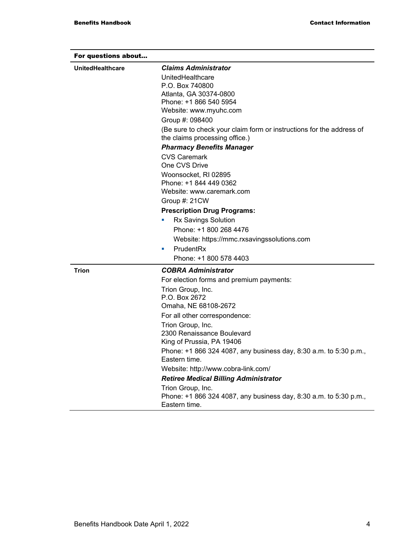| For questions about     |                                                                                                        |
|-------------------------|--------------------------------------------------------------------------------------------------------|
| <b>UnitedHealthcare</b> | <b>Claims Administrator</b>                                                                            |
|                         | UnitedHealthcare                                                                                       |
|                         | P.O. Box 740800                                                                                        |
|                         | Atlanta, GA 30374-0800                                                                                 |
|                         | Phone: +1 866 540 5954                                                                                 |
|                         | Website: www.myuhc.com                                                                                 |
|                         | Group #: 098400                                                                                        |
|                         | (Be sure to check your claim form or instructions for the address of<br>the claims processing office.) |
|                         | <b>Pharmacy Benefits Manager</b>                                                                       |
|                         | <b>CVS Caremark</b>                                                                                    |
|                         | One CVS Drive                                                                                          |
|                         | Woonsocket, RI 02895                                                                                   |
|                         | Phone: +1 844 449 0362                                                                                 |
|                         | Website: www.caremark.com                                                                              |
|                         | Group #: 21CW                                                                                          |
|                         | <b>Prescription Drug Programs:</b>                                                                     |
|                         | <b>Rx Savings Solution</b>                                                                             |
|                         | Phone: +1 800 268 4476                                                                                 |
|                         | Website: https://mmc.rxsavingssolutions.com                                                            |
|                         | PrudentRx<br>٠                                                                                         |
|                         | Phone: +1 800 578 4403                                                                                 |
|                         |                                                                                                        |
| Trion                   | <b>COBRA Administrator</b>                                                                             |
|                         | For election forms and premium payments:                                                               |
|                         | Trion Group, Inc.                                                                                      |
|                         | P.O. Box 2672                                                                                          |
|                         | Omaha, NE 68108-2672                                                                                   |
|                         | For all other correspondence:                                                                          |
|                         | Trion Group, Inc.                                                                                      |
|                         | 2300 Renaissance Boulevard                                                                             |
|                         | King of Prussia, PA 19406                                                                              |
|                         | Phone: +1 866 324 4087, any business day, 8:30 a.m. to 5:30 p.m.,<br>Eastern time.                     |
|                         | Website: http://www.cobra-link.com/                                                                    |
|                         | <b>Retiree Medical Billing Administrator</b>                                                           |
|                         | Trion Group, Inc.                                                                                      |
|                         | Phone: +1 866 324 4087, any business day, 8:30 a.m. to 5:30 p.m.,<br>Eastern time.                     |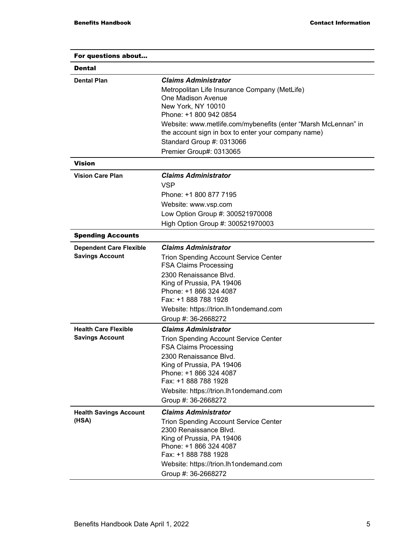| For questions about                                      |                                                                                                                       |
|----------------------------------------------------------|-----------------------------------------------------------------------------------------------------------------------|
| <b>Dental</b>                                            |                                                                                                                       |
| <b>Dental Plan</b>                                       | <b>Claims Administrator</b>                                                                                           |
|                                                          | Metropolitan Life Insurance Company (MetLife)                                                                         |
|                                                          | One Madison Avenue                                                                                                    |
|                                                          | New York, NY 10010                                                                                                    |
|                                                          | Phone: +1 800 942 0854                                                                                                |
|                                                          | Website: www.metlife.com/mybenefits (enter "Marsh McLennan" in<br>the account sign in box to enter your company name) |
|                                                          | Standard Group #: 0313066                                                                                             |
|                                                          | Premier Group#: 0313065                                                                                               |
| Vision                                                   |                                                                                                                       |
| <b>Vision Care Plan</b>                                  | <b>Claims Administrator</b>                                                                                           |
|                                                          | <b>VSP</b>                                                                                                            |
|                                                          | Phone: +1 800 877 7195                                                                                                |
|                                                          | Website: www.vsp.com                                                                                                  |
|                                                          | Low Option Group #: 300521970008                                                                                      |
|                                                          | High Option Group #: 300521970003                                                                                     |
|                                                          |                                                                                                                       |
| <b>Spending Accounts</b>                                 |                                                                                                                       |
| <b>Dependent Care Flexible</b><br><b>Savings Account</b> | <b>Claims Administrator</b>                                                                                           |
|                                                          | <b>Trion Spending Account Service Center</b><br><b>FSA Claims Processing</b>                                          |
|                                                          | 2300 Renaissance Blvd.                                                                                                |
|                                                          | King of Prussia, PA 19406                                                                                             |
|                                                          | Phone: +1 866 324 4087<br>Fax: +1 888 788 1928                                                                        |
|                                                          | Website: https://trion.lh1ondemand.com                                                                                |
|                                                          | Group #: 36-2668272                                                                                                   |
| <b>Health Care Flexible</b>                              | <b>Claims Administrator</b>                                                                                           |
| <b>Savings Account</b>                                   | <b>Trion Spending Account Service Center</b>                                                                          |
|                                                          | <b>FSA Claims Processing</b>                                                                                          |
|                                                          | 2300 Renaissance Blvd.                                                                                                |
|                                                          | King of Prussia, PA 19406                                                                                             |
|                                                          | Phone: +1 866 324 4087                                                                                                |
|                                                          | Fax: +1 888 788 1928                                                                                                  |
|                                                          | Website: https://trion.lh1ondemand.com                                                                                |
|                                                          | Group #: 36-2668272                                                                                                   |
| <b>Health Savings Account</b>                            | <b>Claims Administrator</b>                                                                                           |
| (HSA)                                                    | <b>Trion Spending Account Service Center</b><br>2300 Renaissance Blvd.                                                |
|                                                          | King of Prussia, PA 19406                                                                                             |
|                                                          | Phone: +1 866 324 4087                                                                                                |
|                                                          | Fax: +1 888 788 1928                                                                                                  |
|                                                          | Website: https://trion.lh1ondemand.com                                                                                |
|                                                          | Group #: 36-2668272                                                                                                   |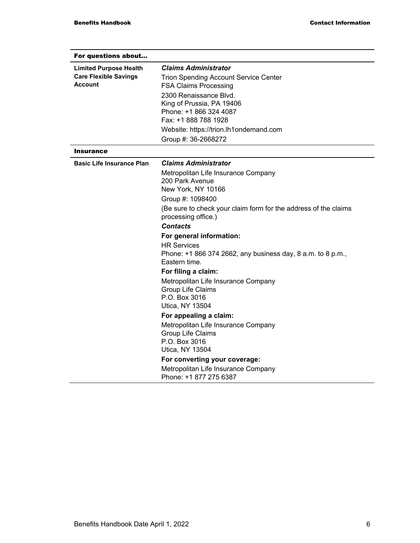| For questions about                            |                                                                              |
|------------------------------------------------|------------------------------------------------------------------------------|
| <b>Limited Purpose Health</b>                  | <b>Claims Administrator</b>                                                  |
| <b>Care Flexible Savings</b><br><b>Account</b> | <b>Trion Spending Account Service Center</b><br><b>FSA Claims Processing</b> |
|                                                | 2300 Renaissance Blvd.                                                       |
|                                                | King of Prussia, PA 19406                                                    |
|                                                | Phone: +1 866 324 4087<br>Fax: +1 888 788 1928                               |
|                                                | Website: https://trion.lh1ondemand.com                                       |
|                                                | Group #: 36-2668272                                                          |
| <b>Insurance</b>                               |                                                                              |
| <b>Basic Life Insurance Plan</b>               | <b>Claims Administrator</b>                                                  |
|                                                | Metropolitan Life Insurance Company                                          |
|                                                | 200 Park Avenue<br>New York, NY 10166                                        |
|                                                | Group #: 1098400                                                             |
|                                                | (Be sure to check your claim form for the address of the claims              |
|                                                | processing office.)                                                          |
|                                                | <b>Contacts</b>                                                              |
|                                                | For general information:                                                     |
|                                                | <b>HR Services</b>                                                           |
|                                                | Phone: +1 866 374 2662, any business day, 8 a.m. to 8 p.m.,<br>Eastern time. |
|                                                | For filing a claim:                                                          |
|                                                | Metropolitan Life Insurance Company                                          |
|                                                | Group Life Claims                                                            |
|                                                | P.O. Box 3016                                                                |
|                                                | Utica, NY 13504                                                              |
|                                                | For appealing a claim:                                                       |
|                                                | Metropolitan Life Insurance Company<br>Group Life Claims                     |
|                                                | P.O. Box 3016                                                                |
|                                                | Utica, NY 13504                                                              |
|                                                | For converting your coverage:                                                |
|                                                | Metropolitan Life Insurance Company                                          |
|                                                | Phone: +1 877 275 6387                                                       |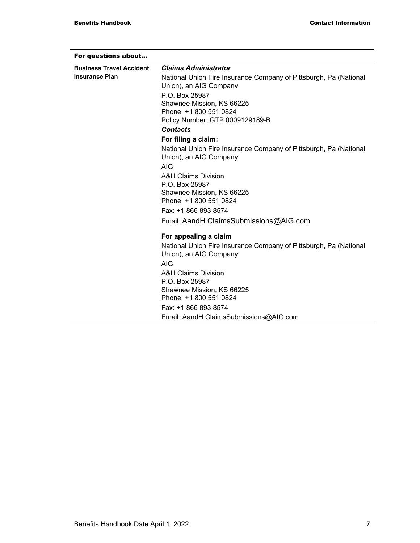| For questions about             |                                                                                             |
|---------------------------------|---------------------------------------------------------------------------------------------|
| <b>Business Travel Accident</b> | <b>Claims Administrator</b>                                                                 |
| <b>Insurance Plan</b>           | National Union Fire Insurance Company of Pittsburgh, Pa (National                           |
|                                 | Union), an AIG Company                                                                      |
|                                 | P.O. Box 25987                                                                              |
|                                 | Shawnee Mission, KS 66225                                                                   |
|                                 | Phone: +1 800 551 0824                                                                      |
|                                 | Policy Number: GTP 0009129189-B                                                             |
|                                 | <b>Contacts</b>                                                                             |
|                                 | For filing a claim:                                                                         |
|                                 | National Union Fire Insurance Company of Pittsburgh, Pa (National<br>Union), an AIG Company |
|                                 | <b>AIG</b>                                                                                  |
|                                 | A&H Claims Division                                                                         |
|                                 | P.O. Box 25987                                                                              |
|                                 | Shawnee Mission, KS 66225                                                                   |
|                                 | Phone: +1 800 551 0824                                                                      |
|                                 | Fax: +1 866 893 8574                                                                        |
|                                 | Email: AandH.ClaimsSubmissions@AIG.com                                                      |
|                                 | For appealing a claim                                                                       |
|                                 | National Union Fire Insurance Company of Pittsburgh, Pa (National<br>Union), an AIG Company |
|                                 | <b>AIG</b>                                                                                  |
|                                 | <b>A&amp;H Claims Division</b>                                                              |
|                                 | P.O. Box 25987                                                                              |
|                                 | Shawnee Mission, KS 66225                                                                   |
|                                 | Phone: +1 800 551 0824                                                                      |
|                                 | Fax: +1 866 893 8574                                                                        |
|                                 | Email: AandH.ClaimsSubmissions@AIG.com                                                      |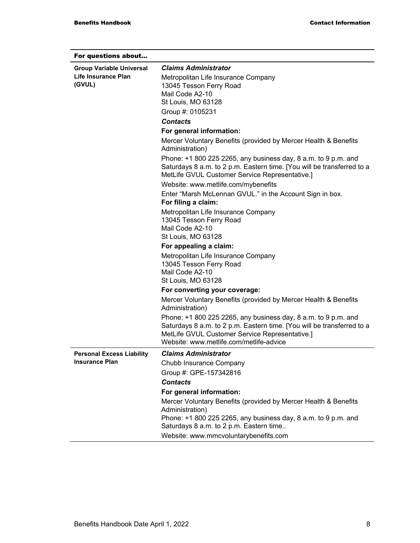| For questions about              |                                                                                                                                                                                            |
|----------------------------------|--------------------------------------------------------------------------------------------------------------------------------------------------------------------------------------------|
| <b>Group Variable Universal</b>  | <b>Claims Administrator</b>                                                                                                                                                                |
| Life Insurance Plan              | Metropolitan Life Insurance Company                                                                                                                                                        |
| (GVUL)                           | 13045 Tesson Ferry Road                                                                                                                                                                    |
|                                  | Mail Code A2-10                                                                                                                                                                            |
|                                  | St Louis, MO 63128                                                                                                                                                                         |
|                                  | Group #: 0105231                                                                                                                                                                           |
|                                  | <b>Contacts</b>                                                                                                                                                                            |
|                                  | For general information:                                                                                                                                                                   |
|                                  | Mercer Voluntary Benefits (provided by Mercer Health & Benefits<br>Administration)                                                                                                         |
|                                  | Phone: +1 800 225 2265, any business day, 8 a.m. to 9 p.m. and<br>Saturdays 8 a.m. to 2 p.m. Eastern time. [You will be transferred to a<br>MetLife GVUL Customer Service Representative.] |
|                                  | Website: www.metlife.com/mybenefits                                                                                                                                                        |
|                                  | Enter "Marsh McLennan GVUL." in the Account Sign in box.<br>For filing a claim:                                                                                                            |
|                                  | Metropolitan Life Insurance Company                                                                                                                                                        |
|                                  | 13045 Tesson Ferry Road                                                                                                                                                                    |
|                                  | Mail Code A2-10                                                                                                                                                                            |
|                                  | St Louis, MO 63128                                                                                                                                                                         |
|                                  | For appealing a claim:                                                                                                                                                                     |
|                                  | Metropolitan Life Insurance Company                                                                                                                                                        |
|                                  | 13045 Tesson Ferry Road<br>Mail Code A2-10                                                                                                                                                 |
|                                  | St Louis, MO 63128                                                                                                                                                                         |
|                                  | For converting your coverage:                                                                                                                                                              |
|                                  | Mercer Voluntary Benefits (provided by Mercer Health & Benefits                                                                                                                            |
|                                  | Administration)                                                                                                                                                                            |
|                                  | Phone: +1 800 225 2265, any business day, 8 a.m. to 9 p.m. and<br>Saturdays 8 a.m. to 2 p.m. Eastern time. [You will be transferred to a                                                   |
|                                  | MetLife GVUL Customer Service Representative.]                                                                                                                                             |
|                                  | Website: www.metlife.com/metlife-advice                                                                                                                                                    |
| <b>Personal Excess Liability</b> | <b>Claims Administrator</b>                                                                                                                                                                |
| <b>Insurance Plan</b>            | Chubb Insurance Company                                                                                                                                                                    |
|                                  | Group #: GPE-157342816                                                                                                                                                                     |
|                                  | <b>Contacts</b>                                                                                                                                                                            |
|                                  | For general information:                                                                                                                                                                   |
|                                  | Mercer Voluntary Benefits (provided by Mercer Health & Benefits                                                                                                                            |
|                                  | Administration)                                                                                                                                                                            |
|                                  | Phone: +1 800 225 2265, any business day, 8 a.m. to 9 p.m. and<br>Saturdays 8 a.m. to 2 p.m. Eastern time                                                                                  |
|                                  | Website: www.mmcvoluntarybenefits.com                                                                                                                                                      |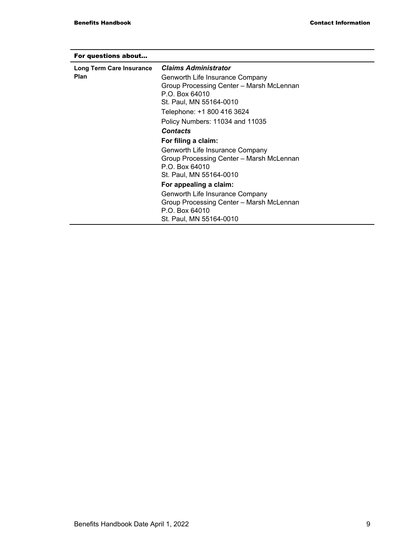| For questions about      |                                          |
|--------------------------|------------------------------------------|
| Long Term Care Insurance | <b>Claims Administrator</b>              |
| <b>Plan</b>              | Genworth Life Insurance Company          |
|                          | Group Processing Center - Marsh McLennan |
|                          | P.O. Box 64010                           |
|                          | St. Paul, MN 55164-0010                  |
|                          | Telephone: +1 800 416 3624               |
|                          | Policy Numbers: 11034 and 11035          |
|                          | <b>Contacts</b>                          |
|                          | For filing a claim:                      |
|                          | Genworth Life Insurance Company          |
|                          | Group Processing Center - Marsh McLennan |
|                          | P.O. Box 64010                           |
|                          | St. Paul, MN 55164-0010                  |
|                          | For appealing a claim:                   |
|                          | Genworth Life Insurance Company          |
|                          | Group Processing Center - Marsh McLennan |
|                          | P.O. Box 64010                           |
|                          | St. Paul, MN 55164-0010                  |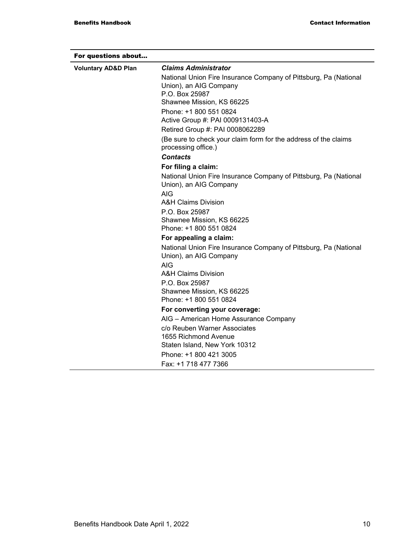| For questions about            |                                                                                                              |
|--------------------------------|--------------------------------------------------------------------------------------------------------------|
| <b>Voluntary AD&amp;D Plan</b> | <b>Claims Administrator</b>                                                                                  |
|                                | National Union Fire Insurance Company of Pittsburg, Pa (National<br>Union), an AIG Company<br>P.O. Box 25987 |
|                                | Shawnee Mission, KS 66225                                                                                    |
|                                | Phone: +1 800 551 0824                                                                                       |
|                                | Active Group #: PAI 0009131403-A                                                                             |
|                                | Retired Group #: PAI 0008062289                                                                              |
|                                | (Be sure to check your claim form for the address of the claims<br>processing office.)                       |
|                                | <b>Contacts</b>                                                                                              |
|                                | For filing a claim:                                                                                          |
|                                | National Union Fire Insurance Company of Pittsburg, Pa (National<br>Union), an AIG Company                   |
|                                | <b>AIG</b>                                                                                                   |
|                                | <b>A&amp;H Claims Division</b>                                                                               |
|                                | P.O. Box 25987<br>Shawnee Mission, KS 66225                                                                  |
|                                | Phone: +1 800 551 0824                                                                                       |
|                                | For appealing a claim:                                                                                       |
|                                | National Union Fire Insurance Company of Pittsburg, Pa (National<br>Union), an AIG Company                   |
|                                | <b>AIG</b>                                                                                                   |
|                                | A&H Claims Division                                                                                          |
|                                | P.O. Box 25987                                                                                               |
|                                | Shawnee Mission, KS 66225<br>Phone: +1 800 551 0824                                                          |
|                                | For converting your coverage:                                                                                |
|                                | AIG - American Home Assurance Company                                                                        |
|                                | c/o Reuben Warner Associates                                                                                 |
|                                | 1655 Richmond Avenue<br>Staten Island, New York 10312                                                        |
|                                | Phone: +1 800 421 3005                                                                                       |
|                                | Fax: +1 718 477 7366                                                                                         |
|                                |                                                                                                              |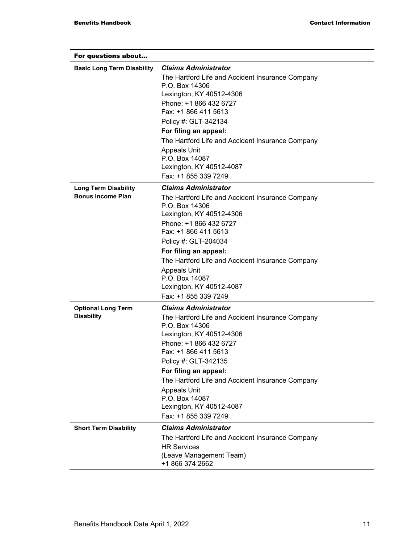| For questions about               |                                                                    |
|-----------------------------------|--------------------------------------------------------------------|
| <b>Basic Long Term Disability</b> | <b>Claims Administrator</b>                                        |
|                                   | The Hartford Life and Accident Insurance Company<br>P.O. Box 14306 |
|                                   | Lexington, KY 40512-4306                                           |
|                                   | Phone: +1 866 432 6727<br>Fax: +1 866 411 5613                     |
|                                   | Policy #: GLT-342134                                               |
|                                   | For filing an appeal:                                              |
|                                   | The Hartford Life and Accident Insurance Company                   |
|                                   | <b>Appeals Unit</b>                                                |
|                                   | P.O. Box 14087                                                     |
|                                   | Lexington, KY 40512-4087                                           |
|                                   | Fax: +1 855 339 7249                                               |
| <b>Long Term Disability</b>       | <b>Claims Administrator</b>                                        |
| <b>Bonus Income Plan</b>          | The Hartford Life and Accident Insurance Company<br>P.O. Box 14306 |
|                                   | Lexington, KY 40512-4306                                           |
|                                   | Phone: +1 866 432 6727<br>Fax: +1 866 411 5613                     |
|                                   | Policy #: GLT-204034                                               |
|                                   | For filing an appeal:                                              |
|                                   | The Hartford Life and Accident Insurance Company                   |
|                                   | <b>Appeals Unit</b>                                                |
|                                   | P.O. Box 14087                                                     |
|                                   | Lexington, KY 40512-4087                                           |
|                                   | Fax: +1 855 339 7249                                               |
| <b>Optional Long Term</b>         | <b>Claims Administrator</b>                                        |
| <b>Disability</b>                 | The Hartford Life and Accident Insurance Company<br>P.O. Box 14306 |
|                                   | Lexington, KY 40512-4306                                           |
|                                   | Phone: +1 866 432 6727<br>Fax: +1 866 411 5613                     |
|                                   | Policy #: GLT-342135                                               |
|                                   | For filing an appeal:                                              |
|                                   | The Hartford Life and Accident Insurance Company                   |
|                                   | <b>Appeals Unit</b>                                                |
|                                   | P.O. Box 14087                                                     |
|                                   | Lexington, KY 40512-4087                                           |
|                                   | Fax: +1 855 339 7249                                               |
| <b>Short Term Disability</b>      | <b>Claims Administrator</b>                                        |
|                                   | The Hartford Life and Accident Insurance Company                   |
|                                   | <b>HR Services</b>                                                 |
|                                   | (Leave Management Team)<br>+1 866 374 2662                         |
|                                   |                                                                    |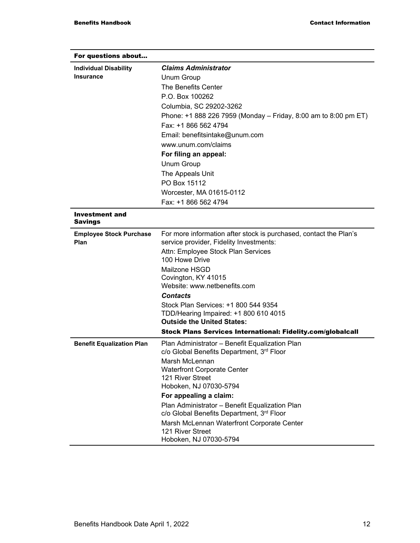| For questions about              |                                                                               |
|----------------------------------|-------------------------------------------------------------------------------|
| <b>Individual Disability</b>     | <b>Claims Administrator</b>                                                   |
| <b>Insurance</b>                 | Unum Group                                                                    |
|                                  | The Benefits Center                                                           |
|                                  | P.O. Box 100262                                                               |
|                                  | Columbia, SC 29202-3262                                                       |
|                                  | Phone: +1 888 226 7959 (Monday – Friday, 8:00 am to 8:00 pm ET)               |
|                                  | Fax: +1 866 562 4794                                                          |
|                                  | Email: benefitsintake@unum.com                                                |
|                                  | www.unum.com/claims                                                           |
|                                  | For filing an appeal:                                                         |
|                                  | Unum Group                                                                    |
|                                  | The Appeals Unit                                                              |
|                                  | PO Box 15112                                                                  |
|                                  | Worcester, MA 01615-0112                                                      |
|                                  | Fax: +1 866 562 4794                                                          |
| Investment and<br><b>Savings</b> |                                                                               |
| <b>Employee Stock Purchase</b>   | For more information after stock is purchased, contact the Plan's             |
| Plan                             | service provider, Fidelity Investments:                                       |
|                                  | Attn: Employee Stock Plan Services                                            |
|                                  | 100 Howe Drive                                                                |
|                                  | Mailzone HSGD                                                                 |
|                                  | Covington, KY 41015                                                           |
|                                  | Website: www.netbenefits.com                                                  |
|                                  | <b>Contacts</b>                                                               |
|                                  | Stock Plan Services: +1 800 544 9354<br>TDD/Hearing Impaired: +1 800 610 4015 |
|                                  | <b>Outside the United States:</b>                                             |
|                                  | Stock Plans Services International: Fidelity.com/globalcall                   |
| <b>Benefit Equalization Plan</b> | Plan Administrator - Benefit Equalization Plan                                |
|                                  | c/o Global Benefits Department, 3rd Floor                                     |
|                                  | Marsh McLennan                                                                |
|                                  | <b>Waterfront Corporate Center</b><br>121 River Street                        |
|                                  | Hoboken, NJ 07030-5794                                                        |
|                                  | For appealing a claim:                                                        |
|                                  | Plan Administrator - Benefit Equalization Plan                                |
|                                  | c/o Global Benefits Department, 3rd Floor                                     |
|                                  | Marsh McLennan Waterfront Corporate Center                                    |
|                                  | 121 River Street                                                              |
|                                  | Hoboken, NJ 07030-5794                                                        |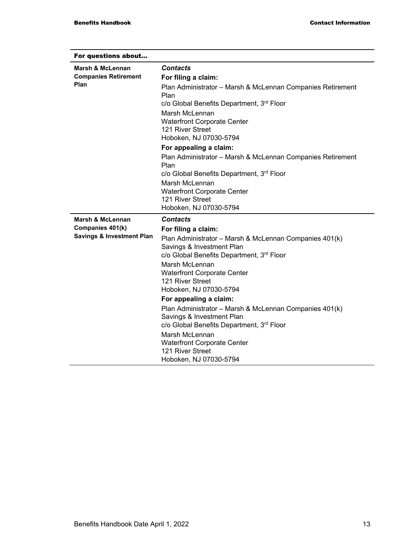| For questions about                  |                                                                        |
|--------------------------------------|------------------------------------------------------------------------|
| Marsh & McLennan                     | <b>Contacts</b>                                                        |
| <b>Companies Retirement</b>          | For filing a claim:                                                    |
| Plan                                 | Plan Administrator - Marsh & McLennan Companies Retirement<br>Plan     |
|                                      | c/o Global Benefits Department, 3rd Floor                              |
|                                      | Marsh McLennan                                                         |
|                                      | <b>Waterfront Corporate Center</b>                                     |
|                                      | 121 River Street                                                       |
|                                      | Hoboken, NJ 07030-5794                                                 |
|                                      | For appealing a claim:                                                 |
|                                      | Plan Administrator - Marsh & McLennan Companies Retirement<br>Plan     |
|                                      | c/o Global Benefits Department, 3rd Floor                              |
|                                      | Marsh McLennan                                                         |
|                                      | <b>Waterfront Corporate Center</b>                                     |
|                                      | 121 River Street                                                       |
|                                      | Hoboken, NJ 07030-5794                                                 |
| Marsh & McLennan                     | <b>Contacts</b>                                                        |
| Companies 401(k)                     | For filing a claim:                                                    |
| <b>Savings &amp; Investment Plan</b> | Plan Administrator - Marsh & McLennan Companies 401(k)                 |
|                                      | Savings & Investment Plan<br>c/o Global Benefits Department, 3rd Floor |
|                                      | Marsh McLennan                                                         |
|                                      | <b>Waterfront Corporate Center</b>                                     |
|                                      | 121 River Street                                                       |
|                                      | Hoboken, NJ 07030-5794                                                 |
|                                      | For appealing a claim:                                                 |
|                                      | Plan Administrator - Marsh & McLennan Companies 401(k)                 |
|                                      | Savings & Investment Plan<br>c/o Global Benefits Department, 3rd Floor |
|                                      | Marsh McLennan                                                         |
|                                      | <b>Waterfront Corporate Center</b>                                     |
|                                      | 121 River Street<br>Hoboken, NJ 07030-5794                             |
|                                      |                                                                        |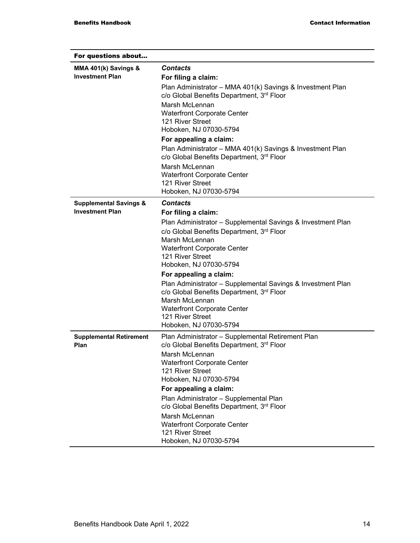| For questions about                    |                                                                                                                            |
|----------------------------------------|----------------------------------------------------------------------------------------------------------------------------|
| MMA 401(k) Savings &                   | Contacts                                                                                                                   |
| <b>Investment Plan</b>                 | For filing a claim:                                                                                                        |
|                                        | Plan Administrator - MMA 401(k) Savings & Investment Plan<br>c/o Global Benefits Department, 3rd Floor                     |
|                                        | Marsh McLennan<br><b>Waterfront Corporate Center</b><br>121 River Street<br>Hoboken, NJ 07030-5794                         |
|                                        | For appealing a claim:                                                                                                     |
|                                        | Plan Administrator - MMA 401(k) Savings & Investment Plan<br>c/o Global Benefits Department, 3rd Floor                     |
|                                        | Marsh McLennan<br><b>Waterfront Corporate Center</b><br>121 River Street<br>Hoboken, NJ 07030-5794                         |
| <b>Supplemental Savings &amp;</b>      | <b>Contacts</b>                                                                                                            |
| <b>Investment Plan</b>                 | For filing a claim:                                                                                                        |
|                                        | Plan Administrator - Supplemental Savings & Investment Plan                                                                |
|                                        | c/o Global Benefits Department, 3rd Floor                                                                                  |
|                                        | Marsh McLennan                                                                                                             |
|                                        | <b>Waterfront Corporate Center</b>                                                                                         |
|                                        | 121 River Street                                                                                                           |
|                                        | Hoboken, NJ 07030-5794                                                                                                     |
|                                        | For appealing a claim:                                                                                                     |
|                                        | Plan Administrator - Supplemental Savings & Investment Plan<br>c/o Global Benefits Department, 3rd Floor<br>Marsh McLennan |
|                                        | <b>Waterfront Corporate Center</b>                                                                                         |
|                                        | 121 River Street                                                                                                           |
|                                        | Hoboken, NJ 07030-5794                                                                                                     |
| <b>Supplemental Retirement</b><br>Plan | Plan Administrator - Supplemental Retirement Plan<br>c/o Global Benefits Department, 3 <sup>rd</sup> Floor                 |
|                                        | Marsh McLennan                                                                                                             |
|                                        | <b>Waterfront Corporate Center</b>                                                                                         |
|                                        | 121 River Street                                                                                                           |
|                                        | Hoboken, NJ 07030-5794                                                                                                     |
|                                        | For appealing a claim:                                                                                                     |
|                                        | Plan Administrator - Supplemental Plan<br>c/o Global Benefits Department, 3 <sup>rd</sup> Floor                            |
|                                        | Marsh McLennan                                                                                                             |
|                                        | <b>Waterfront Corporate Center</b><br>121 River Street                                                                     |
|                                        | Hoboken, NJ 07030-5794                                                                                                     |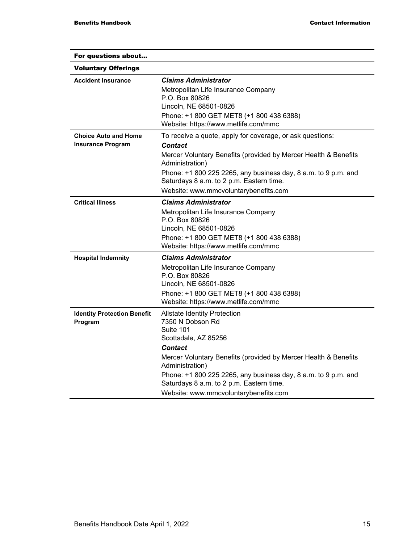| For questions about                                     |                                                                                                                                                                                                                                                                                                                                                             |
|---------------------------------------------------------|-------------------------------------------------------------------------------------------------------------------------------------------------------------------------------------------------------------------------------------------------------------------------------------------------------------------------------------------------------------|
| <b>Voluntary Offerings</b>                              |                                                                                                                                                                                                                                                                                                                                                             |
| <b>Accident Insurance</b>                               | <b>Claims Administrator</b><br>Metropolitan Life Insurance Company<br>P.O. Box 80826<br>Lincoln, NE 68501-0826<br>Phone: +1 800 GET MET8 (+1 800 438 6388)<br>Website: https://www.metlife.com/mmc                                                                                                                                                          |
| <b>Choice Auto and Home</b><br><b>Insurance Program</b> | To receive a quote, apply for coverage, or ask questions:<br><b>Contact</b><br>Mercer Voluntary Benefits (provided by Mercer Health & Benefits<br>Administration)<br>Phone: +1 800 225 2265, any business day, 8 a.m. to 9 p.m. and<br>Saturdays 8 a.m. to 2 p.m. Eastern time.<br>Website: www.mmcvoluntarybenefits.com                                    |
| <b>Critical Illness</b>                                 | <b>Claims Administrator</b><br>Metropolitan Life Insurance Company<br>P.O. Box 80826<br>Lincoln, NE 68501-0826<br>Phone: +1 800 GET MET8 (+1 800 438 6388)<br>Website: https://www.metlife.com/mmc                                                                                                                                                          |
| <b>Hospital Indemnity</b>                               | <b>Claims Administrator</b><br>Metropolitan Life Insurance Company<br>P.O. Box 80826<br>Lincoln, NE 68501-0826<br>Phone: +1 800 GET MET8 (+1 800 438 6388)<br>Website: https://www.metlife.com/mmc                                                                                                                                                          |
| <b>Identity Protection Benefit</b><br>Program           | <b>Allstate Identity Protection</b><br>7350 N Dobson Rd<br>Suite 101<br>Scottsdale, AZ 85256<br><b>Contact</b><br>Mercer Voluntary Benefits (provided by Mercer Health & Benefits<br>Administration)<br>Phone: +1 800 225 2265, any business day, 8 a.m. to 9 p.m. and<br>Saturdays 8 a.m. to 2 p.m. Eastern time.<br>Website: www.mmcvoluntarybenefits.com |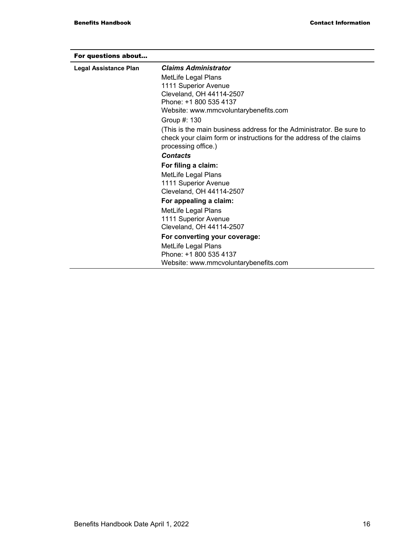| For questions about   |                                                                                                                                                                    |
|-----------------------|--------------------------------------------------------------------------------------------------------------------------------------------------------------------|
| Legal Assistance Plan | <b>Claims Administrator</b>                                                                                                                                        |
|                       | MetLife Legal Plans                                                                                                                                                |
|                       | 1111 Superior Avenue                                                                                                                                               |
|                       | Cleveland, OH 44114-2507                                                                                                                                           |
|                       | Phone: +1 800 535 4137                                                                                                                                             |
|                       | Website: www.mmcvoluntarybenefits.com                                                                                                                              |
|                       | Group #: 130                                                                                                                                                       |
|                       | (This is the main business address for the Administrator. Be sure to<br>check your claim form or instructions for the address of the claims<br>processing office.) |
|                       | <b>Contacts</b>                                                                                                                                                    |
|                       | For filing a claim:                                                                                                                                                |
|                       | MetLife Legal Plans                                                                                                                                                |
|                       | 1111 Superior Avenue                                                                                                                                               |
|                       | Cleveland, OH 44114-2507                                                                                                                                           |
|                       | For appealing a claim:                                                                                                                                             |
|                       | MetLife Legal Plans                                                                                                                                                |
|                       | 1111 Superior Avenue                                                                                                                                               |
|                       | Cleveland, OH 44114-2507                                                                                                                                           |
|                       | For converting your coverage:                                                                                                                                      |
|                       | MetLife Legal Plans                                                                                                                                                |
|                       | Phone: +1 800 535 4137                                                                                                                                             |
|                       | Website: www.mmcvoluntarybenefits.com                                                                                                                              |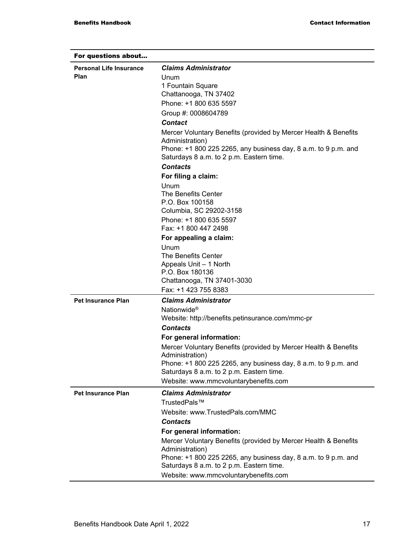| For questions about            |                                                                                                                                                                                                                              |
|--------------------------------|------------------------------------------------------------------------------------------------------------------------------------------------------------------------------------------------------------------------------|
| <b>Personal Life Insurance</b> | <b>Claims Administrator</b>                                                                                                                                                                                                  |
| <b>Plan</b>                    | Unum<br>1 Fountain Square<br>Chattanooga, TN 37402                                                                                                                                                                           |
|                                | Phone: +1 800 635 5597                                                                                                                                                                                                       |
|                                | Group #: 0008604789<br><b>Contact</b>                                                                                                                                                                                        |
|                                | Mercer Voluntary Benefits (provided by Mercer Health & Benefits<br>Administration)<br>Phone: +1 800 225 2265, any business day, 8 a.m. to 9 p.m. and<br>Saturdays 8 a.m. to 2 p.m. Eastern time.                             |
|                                | <b>Contacts</b>                                                                                                                                                                                                              |
|                                | For filing a claim:                                                                                                                                                                                                          |
|                                | Unum<br>The Benefits Center<br>P.O. Box 100158<br>Columbia, SC 29202-3158                                                                                                                                                    |
|                                | Phone: +1 800 635 5597                                                                                                                                                                                                       |
|                                | Fax: +1 800 447 2498                                                                                                                                                                                                         |
|                                | For appealing a claim:                                                                                                                                                                                                       |
|                                | Unum<br>The Benefits Center<br>Appeals Unit - 1 North<br>P.O. Box 180136<br>Chattanooga, TN 37401-3030                                                                                                                       |
|                                | Fax: +1 423 755 8383                                                                                                                                                                                                         |
| <b>Pet Insurance Plan</b>      | <b>Claims Administrator</b><br>Nationwide <sup>®</sup><br>Website: http://benefits.petinsurance.com/mmc-pr                                                                                                                   |
|                                | <b>Contacts</b>                                                                                                                                                                                                              |
|                                | For general information:                                                                                                                                                                                                     |
|                                | Mercer Voluntary Benefits (provided by Mercer Health & Benefits<br>Administration)                                                                                                                                           |
|                                | Phone: +1 800 225 2265, any business day, 8 a.m. to 9 p.m. and<br>Saturdays 8 a.m. to 2 p.m. Eastern time.                                                                                                                   |
|                                | Website: www.mmcvoluntarybenefits.com                                                                                                                                                                                        |
| <b>Pet Insurance Plan</b>      | <b>Claims Administrator</b><br>TrustedPals™<br>Website: www.TrustedPals.com/MMC                                                                                                                                              |
|                                | <b>Contacts</b>                                                                                                                                                                                                              |
|                                | For general information:<br>Mercer Voluntary Benefits (provided by Mercer Health & Benefits<br>Administration)<br>Phone: +1 800 225 2265, any business day, 8 a.m. to 9 p.m. and<br>Saturdays 8 a.m. to 2 p.m. Eastern time. |
|                                | Website: www.mmcvoluntarybenefits.com                                                                                                                                                                                        |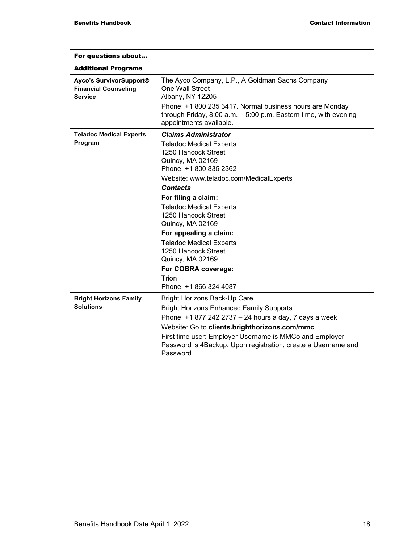| For questions about                                                      |                                                                                                                                                                                                                                                                                                                                                                                                                                                                       |
|--------------------------------------------------------------------------|-----------------------------------------------------------------------------------------------------------------------------------------------------------------------------------------------------------------------------------------------------------------------------------------------------------------------------------------------------------------------------------------------------------------------------------------------------------------------|
| <b>Additional Programs</b>                                               |                                                                                                                                                                                                                                                                                                                                                                                                                                                                       |
| Ayco's SurvivorSupport®<br><b>Financial Counseling</b><br><b>Service</b> | The Ayco Company, L.P., A Goldman Sachs Company<br>One Wall Street<br>Albany, NY 12205<br>Phone: +1 800 235 3417. Normal business hours are Monday<br>through Friday, $8:00$ a.m. $-5:00$ p.m. Eastern time, with evening<br>appointments available.                                                                                                                                                                                                                  |
| <b>Teladoc Medical Experts</b><br>Program                                | <b>Claims Administrator</b><br><b>Teladoc Medical Experts</b><br>1250 Hancock Street<br>Quincy, MA 02169<br>Phone: +1 800 835 2362<br>Website: www.teladoc.com/MedicalExperts<br><b>Contacts</b><br>For filing a claim:<br><b>Teladoc Medical Experts</b><br>1250 Hancock Street<br>Quincy, MA 02169<br>For appealing a claim:<br><b>Teladoc Medical Experts</b><br>1250 Hancock Street<br>Quincy, MA 02169<br>For COBRA coverage:<br>Trion<br>Phone: +1 866 324 4087 |
| <b>Bright Horizons Family</b><br><b>Solutions</b>                        | <b>Bright Horizons Back-Up Care</b><br><b>Bright Horizons Enhanced Family Supports</b><br>Phone: +1 877 242 2737 - 24 hours a day, 7 days a week<br>Website: Go to clients.brighthorizons.com/mmc<br>First time user: Employer Username is MMCo and Employer<br>Password is 4Backup. Upon registration, create a Username and<br>Password.                                                                                                                            |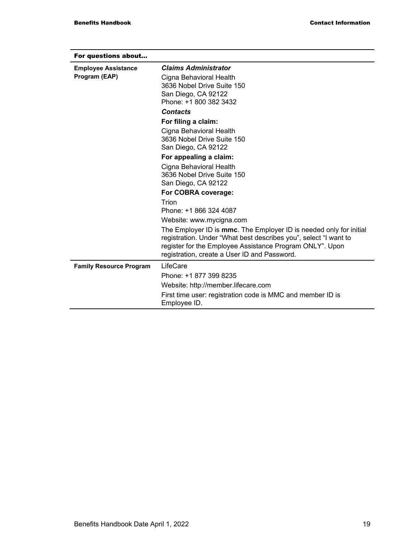| For questions about            |                                                                                                                                                                                                                                                    |
|--------------------------------|----------------------------------------------------------------------------------------------------------------------------------------------------------------------------------------------------------------------------------------------------|
| <b>Employee Assistance</b>     | <b>Claims Administrator</b>                                                                                                                                                                                                                        |
| Program (EAP)                  | Cigna Behavioral Health                                                                                                                                                                                                                            |
|                                | 3636 Nobel Drive Suite 150                                                                                                                                                                                                                         |
|                                | San Diego, CA 92122                                                                                                                                                                                                                                |
|                                | Phone: +1 800 382 3432                                                                                                                                                                                                                             |
|                                | <b>Contacts</b>                                                                                                                                                                                                                                    |
|                                | For filing a claim:                                                                                                                                                                                                                                |
|                                | Cigna Behavioral Health                                                                                                                                                                                                                            |
|                                | 3636 Nobel Drive Suite 150                                                                                                                                                                                                                         |
|                                | San Diego, CA 92122                                                                                                                                                                                                                                |
|                                | For appealing a claim:                                                                                                                                                                                                                             |
|                                | Cigna Behavioral Health                                                                                                                                                                                                                            |
|                                | 3636 Nobel Drive Suite 150                                                                                                                                                                                                                         |
|                                | San Diego, CA 92122                                                                                                                                                                                                                                |
|                                | For COBRA coverage:                                                                                                                                                                                                                                |
|                                | Trion                                                                                                                                                                                                                                              |
|                                | Phone: +1 866 324 4087                                                                                                                                                                                                                             |
|                                | Website: www.mycigna.com                                                                                                                                                                                                                           |
|                                | The Employer ID is mmc. The Employer ID is needed only for initial<br>registration. Under "What best describes you", select "I want to<br>register for the Employee Assistance Program ONLY". Upon<br>registration, create a User ID and Password. |
| <b>Family Resource Program</b> | LifeCare                                                                                                                                                                                                                                           |
|                                | Phone: +1 877 399 8235                                                                                                                                                                                                                             |
|                                | Website: http://member.lifecare.com                                                                                                                                                                                                                |
|                                | First time user: registration code is MMC and member ID is<br>Employee ID.                                                                                                                                                                         |